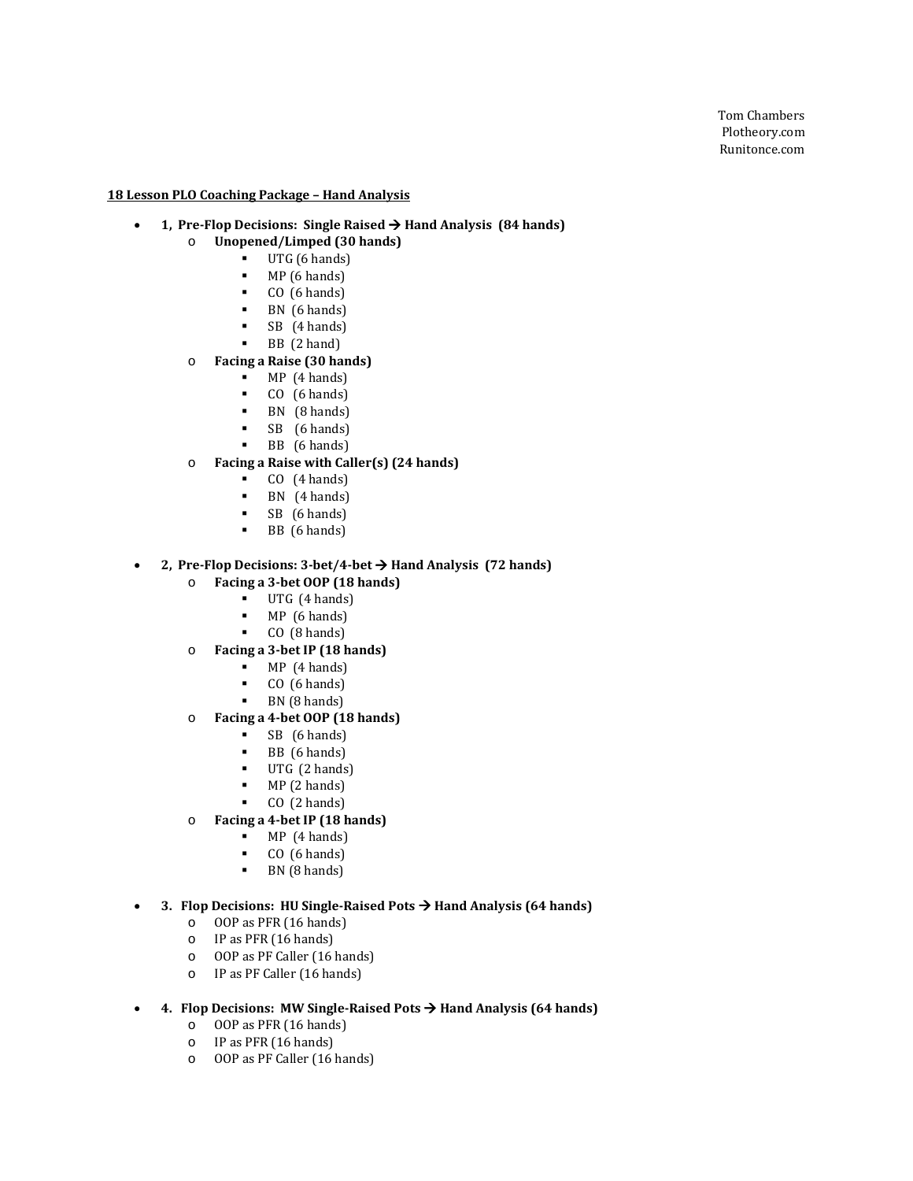### **18 Lesson PLO Coaching Package – Hand Analysis**

### • **1, Pre-Flop Decisions: Single Raised Hand Analysis (84 hands)**

- o **Unopened/Limped (30 hands)**
	- UTG  $(6 \text{ hands})$ <br>
	MP  $(6 \text{ hands})$ 
		- $MP(6 \text{ hands})$ <br> $P(6 \text{ hands})$
		- $CO (6 \text{ hands})$ <br> $RN (6 \text{ bands})$
		- **BN** (6 hands)
		- SB (4 hands)
		- BB (2 hand)

#### o **Facing a Raise (30 hands)**

- $MP (4 hands)$ <br> $P (6 hands)$
- $CO$  (6 hands)<br>BN  $(B \text{ hands})$
- $\blacksquare$  BN (8 hands)
- SB (6 hands)
- BB (6 hands)

### o **Facing a Raise with Caller(s) (24 hands)**

- $CO$  (4 hands)
- **BN**  $(4 \text{ hands})$ <br>**SR**  $(6 \text{ hands})$
- $SB$  (6 hands)
- BB (6 hands)

#### • **2, Pre-Flop Decisions: 3-bet/4-bet Hand Analysis (72 hands)**

- o **Facing a 3-bet OOP (18 hands)**
	- $\blacksquare$  UTG (4 hands)<br> $\blacksquare$  MP (6 hands)
	-
	- **MP** (6 hands)<br>**CO** (8 hands) CO (8 hands)
- o **Facing a 3-bet IP (18 hands)**
	- $MP$  (4 hands)
	-
	- CO  $(6 \text{ hands})$ <br>RN  $(8 \text{ hands})$ BN (8 hands)
- o **Facing a 4-bet OOP (18 hands)**
	- $SB$  (6 hands)<br>BB (6 hands)
	- **BB** (6 hands)<br>**IITG** (2 hands)
	- UTG (2 hands)
	- $MP(2 \text{ hands})$ <br> $P(2 \text{ hands})$
	- CO (2 hands)
- o **Facing a 4-bet IP (18 hands)**
	- $MP(4 \text{ hands})$ <br> $P(6 \text{ hands})$
	- CO  $(6 \text{ hands})$ <br>RN  $(8 \text{ hands})$
	- BN (8 hands)

### • **3. Flop Decisions: HU Single-Raised Pots Hand Analysis (64 hands)**

- o OOP as PFR (16 hands)
- o IP as PFR (16 hands)
- o OOP as PF Caller (16 hands)
- o IP as PF Caller (16 hands)
- **4. Flop Decisions: MW Single-Raised Pots Hand Analysis (64 hands)**
	- o OOP as PFR (16 hands)
	- o IP as PFR (16 hands)
	- o OOP as PF Caller (16 hands)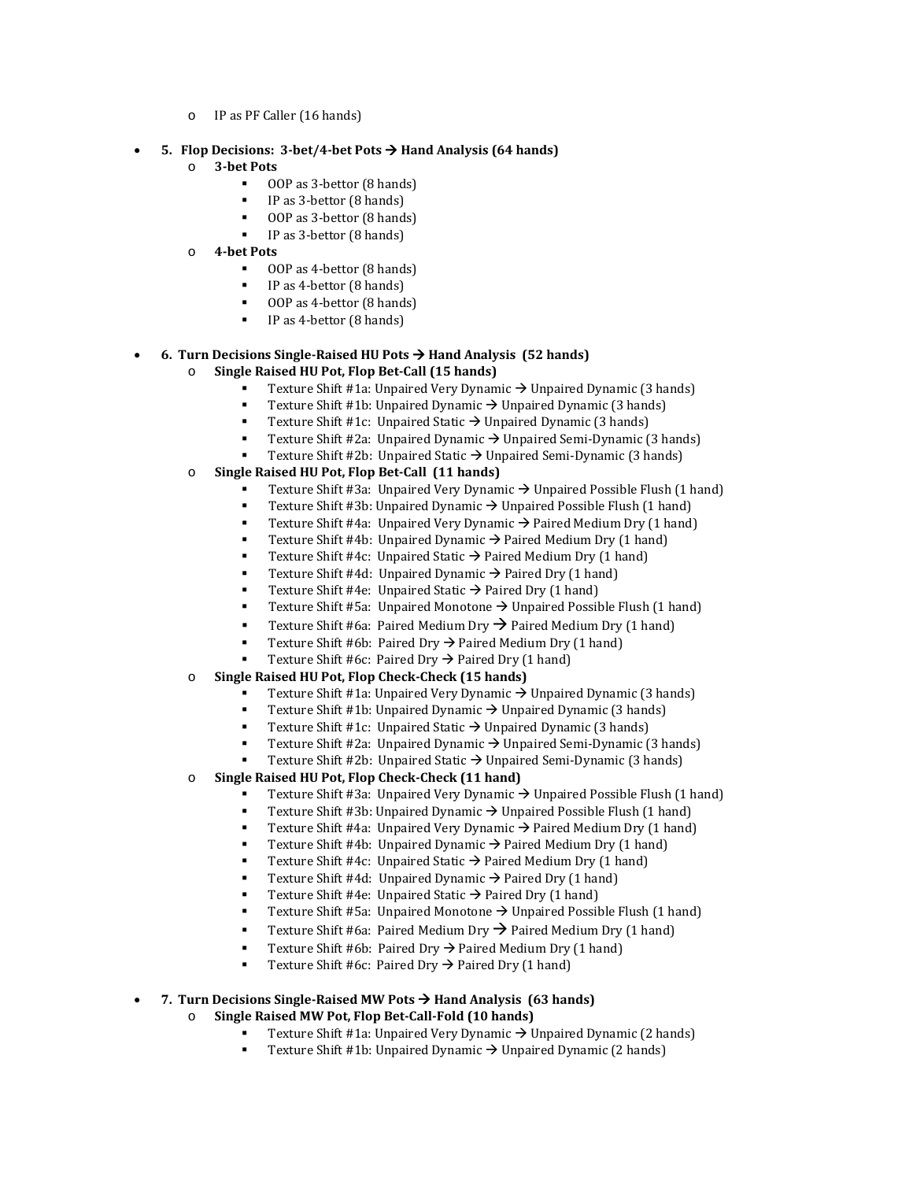- o IP as PF Caller (16 hands)
- **5. Flop Decisions: 3-bet/4-bet Pots Hand Analysis (64 hands)**
	- o **3-bet Pots** 
		- OOP as 3-bettor (8 hands)
		- IP as 3-bettor (8 hands)
		- OOP as 3-bettor (8 hands)
		- IP as 3-bettor (8 hands)
	- o **4-bet Pots** 
		- 00P as 4-bettor (8 hands)
		- $IP$  as 4-bettor (8 hands)
		- OOP as 4-bettor (8 hands)
		- IP as 4-bettor (8 hands)

### • **6. Turn Decisions Single-Raised HU Pots Hand Analysis (52 hands)**

- o **Single Raised HU Pot, Flop Bet-Call (15 hands)**
	- Texture Shift #1a: Unpaired Very Dynamic  $\rightarrow$  Unpaired Dynamic (3 hands)
	- Texture Shift #1b: Unpaired Dynamic  $\rightarrow$  Unpaired Dynamic (3 hands)
	- Texture Shift #1c: Unpaired Static  $\rightarrow$  Unpaired Dynamic (3 hands)
	- Texture Shift #2a:Unpaired Dynamic Unpaired Semi-Dynamic (3 hands)
	- Texture Shift #2b:Unpaired Static Unpaired Semi-Dynamic (3 hands)
- o **Single Raised HU Pot, Flop Bet-Call (11 hands)**
	- Texture Shift #3a: Unpaired Very Dynamic  $\rightarrow$  Unpaired Possible Flush (1 hand)
	- Texture Shift #3b: Unpaired Dynamic  $\rightarrow$  Unpaired Possible Flush (1 hand)<br>Texture Shift #42: Unpaired Very Dynamic  $\rightarrow$  Paired Medium Dry (1 hand)
	- Texture Shift #4a: Unpaired Very Dynamic  $\rightarrow$  Paired Medium Dry (1 hand)
	- Texture Shift #4b: Unpaired Dynamic  $\rightarrow$  Paired Medium Dry (1 hand)
	- Texture Shift #4c: Unpaired Static  $\rightarrow$  Paired Medium Dry (1 hand)
	- Texture Shift #4d: Unpaired Dynamic  $\rightarrow$  Paired Dry (1 hand)
	- Texture Shift #4e: Unpaired Static  $\rightarrow$  Paired Dry (1 hand)
	- Texture Shift #5a: Unpaired Monotone → Unpaired Possible Flush (1 hand)
	- **Texture Shift #6a: Paired Medium Dry**  $\rightarrow$  **Paired Medium Dry (1 hand)**
	- Texture Shift #6b: Paired Dry  $\rightarrow$  Paired Medium Dry (1 hand)
	- Texture Shift #6c: Paired Dry  $\rightarrow$  Paired Dry (1 hand)
- o **Single Raised HU Pot, Flop Check-Check (15 hands)**
	- Texture Shift #1a: Unpaired Very Dynamic  $\rightarrow$  Unpaired Dynamic (3 hands)
	- Texture Shift #1b: Unpaired Dynamic  $\rightarrow$  Unpaired Dynamic (3 hands)<br>Texture Shift #1c: Unpaired Static  $\rightarrow$  Unpaired Dynamic (3 hands)
	- Texture Shift #1c: Unpaired Static  $\rightarrow$  Unpaired Dynamic (3 hands)
	- Texture Shift #2a:Unpaired Dynamic Unpaired Semi-Dynamic (3 hands)
	- Texture Shift #2b: Unpaired Static → Unpaired Semi-Dynamic (3 hands)
- o **Single Raised HU Pot, Flop Check-Check (11 hand)**
	- Texture Shift #3a: Unpaired Very Dynamic  $\rightarrow$  Unpaired Possible Flush (1 hand)
	- Texture Shift #3b: Unpaired Dynamic  $\rightarrow$  Unpaired Possible Flush (1 hand)
	- Texture Shift #4a: Unpaired Very Dynamic  $\rightarrow$  Paired Medium Dry (1 hand)
	- Texture Shift #4b: Unpaired Dynamic  $\rightarrow$  Paired Medium Dry (1 hand)
	- Texture Shift #4c: Unpaired Static  $\rightarrow$  Paired Medium Dry (1 hand)
	- Texture Shift #4d: Unpaired Dynamic  $\rightarrow$  Paired Dry (1 hand)
	- Texture Shift #4e: Unpaired Static  $\rightarrow$  Paired Dry (1 hand)
	- Texture Shift #5a: Unpaired Monotone  $\rightarrow$  Unpaired Possible Flush (1 hand)
	- Texture Shift #6a: Paired Medium Dry  $\rightarrow$  Paired Medium Dry (1 hand)
	- Texture Shift #6b: Paired Dry  $\rightarrow$  Paired Medium Dry (1 hand)
	- Texture Shift #6c: Paired Dry  $\rightarrow$  Paired Dry (1 hand)

### • **7. Turn Decisions Single-Raised MW Pots Hand Analysis (63 hands)**

- o **Single Raised MW Pot, Flop Bet-Call-Fold (10 hands)**
	- Texture Shift #1a: Unpaired Very Dynamic  $\rightarrow$  Unpaired Dynamic (2 hands)
	- Texture Shift #1b: Unpaired Dynamic  $\rightarrow$  Unpaired Dynamic (2 hands)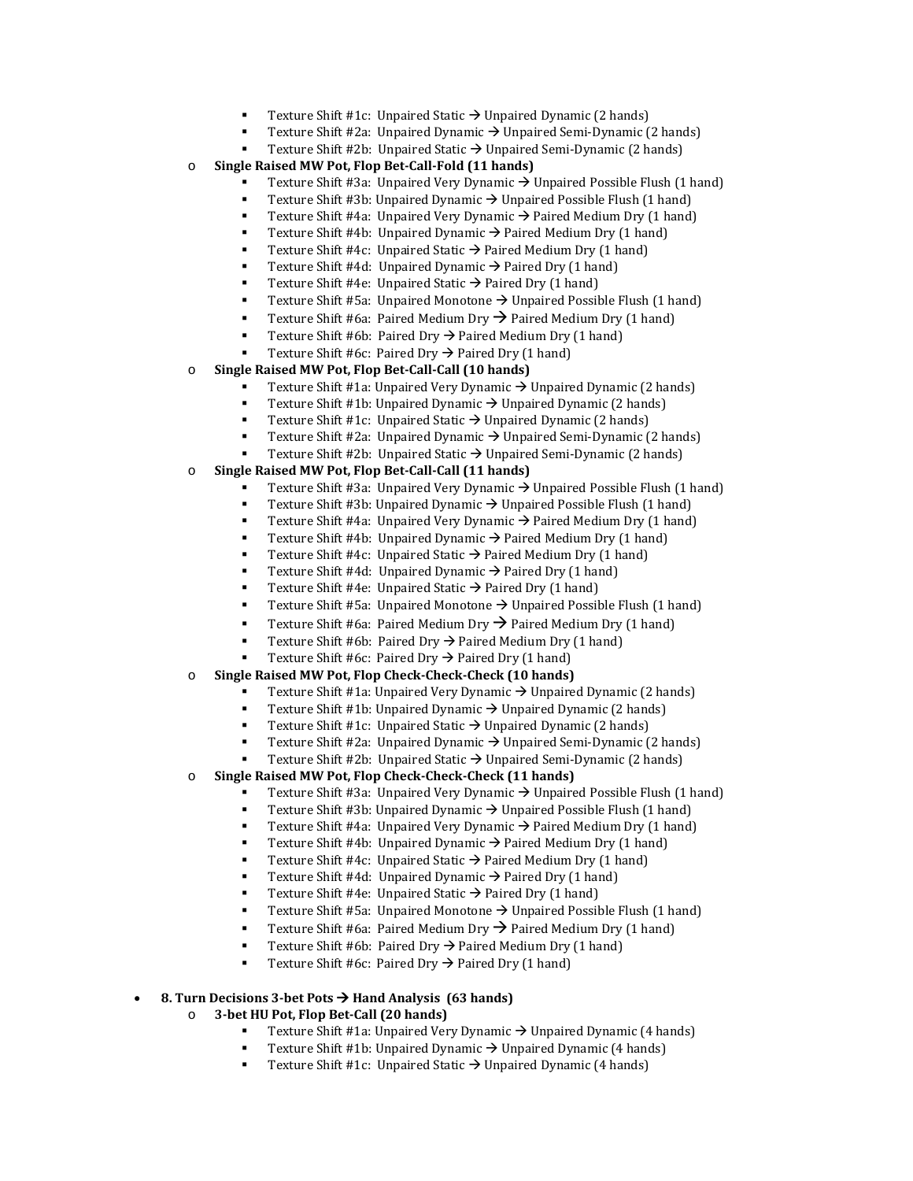- Texture Shift #1c: Unpaired Static  $\rightarrow$  Unpaired Dynamic (2 hands)
	- Texture Shift #2a: Unpaired Dynamic → Unpaired Semi-Dynamic (2 hands)
- Texture Shift #2b: Unpaired Static → Unpaired Semi-Dynamic (2 hands)
- o **Single Raised MW Pot, Flop Bet-Call-Fold (11 hands)**
	- Texture Shift #3a: Unpaired Very Dynamic  $\rightarrow$  Unpaired Possible Flush (1 hand)
	- Texture Shift #3b: Unpaired Dynamic  $\rightarrow$  Unpaired Possible Flush (1 hand)
	- Texture Shift #4a: Unpaired Very Dynamic  $\rightarrow$  Paired Medium Dry (1 hand)
	- Texture Shift #4b: Unpaired Dynamic  $\rightarrow$  Paired Medium Dry (1 hand)
	- Texture Shift #4c: Unpaired Static  $\rightarrow$  Paired Medium Dry (1 hand)
	- Texture Shift #4d: Unpaired Dynamic  $\rightarrow$  Paired Dry (1 hand)
	- Texture Shift #4e: Unpaired Static  $\rightarrow$  Paired Dry (1 hand)
	- Texture Shift #5a: Unpaired Monotone  $\rightarrow$  Unpaired Possible Flush (1 hand)
	- **Texture Shift #6a: Paired Medium Dry**  $\rightarrow$  **Paired Medium Dry (1 hand)**
	- Texture Shift #6b: Paired Dry  $\rightarrow$  Paired Medium Dry (1 hand)
	- Texture Shift #6c: Paired Dry  $\rightarrow$  Paired Dry (1 hand)
- o **Single Raised MW Pot, Flop Bet-Call-Call (10 hands)**
	- Texture Shift #1a: Unpaired Very Dynamic  $\rightarrow$  Unpaired Dynamic (2 hands)
	- Texture Shift #1b: Unpaired Dynamic  $\rightarrow$  Unpaired Dynamic (2 hands)
	- Texture Shift #1c: Unpaired Static  $\rightarrow$  Unpaired Dynamic (2 hands)
	- Texture Shift #2a:Unpaired Dynamic Unpaired Semi-Dynamic (2 hands)
	- Texture Shift #2b:Unpaired Static Unpaired Semi-Dynamic (2 hands)
- o **Single Raised MW Pot, Flop Bet-Call-Call (11 hands)**
	- Texture Shift #3a: Unpaired Very Dynamic  $\rightarrow$  Unpaired Possible Flush (1 hand)
	- Texture Shift #3b: Unpaired Dynamic  $\rightarrow$  Unpaired Possible Flush (1 hand)
	- Texture Shift #4a: Unpaired Very Dynamic  $\rightarrow$  Paired Medium Dry (1 hand)
	- Texture Shift #4b: Unpaired Dynamic  $\rightarrow$  Paired Medium Dry (1 hand)
	- Texture Shift #4c: Unpaired Static  $\rightarrow$  Paired Medium Dry (1 hand)
	- Texture Shift #4d: Unpaired Dynamic  $\rightarrow$  Paired Dry (1 hand)
	- Texture Shift #4e: Unpaired Static  $\rightarrow$  Paired Dry (1 hand)
	- Texture Shift #5a: Unpaired Monotone  $\rightarrow$  Unpaired Possible Flush (1 hand)
	- Texture Shift #6a: Paired Medium Dry  $\rightarrow$  Paired Medium Dry (1 hand)
	- Texture Shift #6b: Paired Dry  $\rightarrow$  Paired Medium Dry (1 hand)
	- Texture Shift #6c: Paired Dry  $\rightarrow$  Paired Dry (1 hand)
- o **Single Raised MW Pot, Flop Check-Check-Check (10 hands)**
	- Texture Shift #1a: Unpaired Very Dynamic  $\rightarrow$  Unpaired Dynamic (2 hands)
	- Texture Shift #1b: Unpaired Dynamic  $\rightarrow$  Unpaired Dynamic (2 hands)
	- Texture Shift #1c: Unpaired Static  $\rightarrow$  Unpaired Dynamic (2 hands)
	- Texture Shift #2a:Unpaired Dynamic Unpaired Semi-Dynamic (2 hands)
	- Texture Shift #2b: Unpaired Static → Unpaired Semi-Dynamic (2 hands)
- o **Single Raised MW Pot, Flop Check-Check-Check (11 hands)**
	- Texture Shift #3a: Unpaired Very Dynamic  $\rightarrow$  Unpaired Possible Flush (1 hand)
	- Texture Shift #3b: Unpaired Dynamic  $\rightarrow$  Unpaired Possible Flush (1 hand)<br>■ Texture Shift #42: Unpaired Very Dynamic  $\rightarrow$  Paired Medium Dry (1 hand)
	- Texture Shift #4a: Unpaired Very Dynamic  $\rightarrow$  Paired Medium Dry (1 hand)
	- Texture Shift #4b: Unpaired Dynamic  $\rightarrow$  Paired Medium Dry (1 hand)
	- Texture Shift #4c: Unpaired Static  $\rightarrow$  Paired Medium Dry (1 hand)
	- Texture Shift #4d: Unpaired Dynamic  $\rightarrow$  Paired Dry (1 hand)
	- Texture Shift #4e: Unpaired Static  $\rightarrow$  Paired Dry (1 hand)
	- Texture Shift #5a: Unpaired Monotone  $\rightarrow$  Unpaired Possible Flush (1 hand)
	- Texture Shift #6a: Paired Medium Dry  $\rightarrow$  Paired Medium Dry (1 hand)
	- Texture Shift #6b: Paired Dry  $\rightarrow$  Paired Medium Dry (1 hand)
	- Texture Shift #6c: Paired Dry  $\rightarrow$  Paired Dry (1 hand)

### • **8. Turn Decisions 3-bet Pots Hand Analysis (63 hands)**

- o **3-bet HU Pot, Flop Bet-Call (20 hands)**
	- Texture Shift #1a: Unpaired Very Dynamic  $\rightarrow$  Unpaired Dynamic (4 hands)
	- Texture Shift #1b: Unpaired Dynamic  $\rightarrow$  Unpaired Dynamic (4 hands)
	- Texture Shift #1c: Unpaired Static  $\rightarrow$  Unpaired Dynamic (4 hands)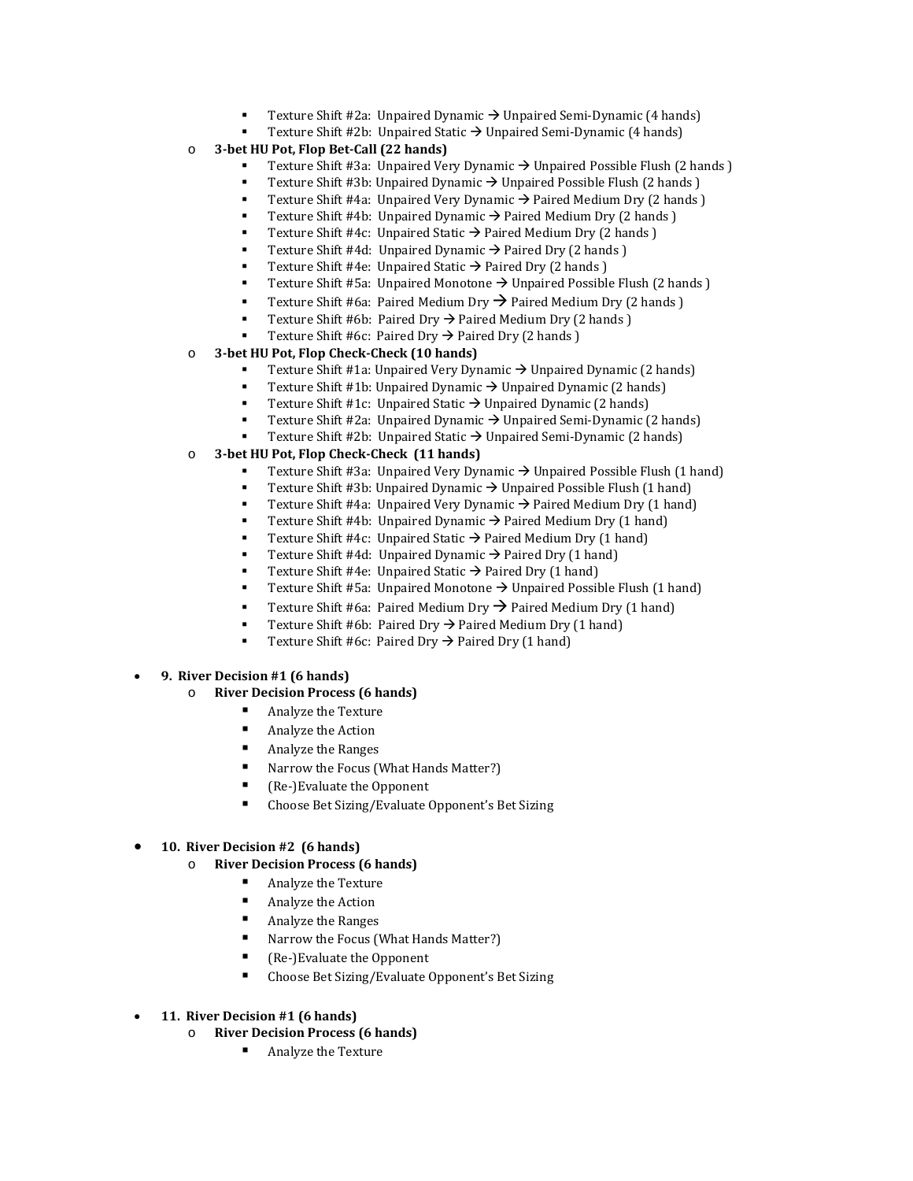- Texture Shift #2a:Unpaired Dynamic Unpaired Semi-Dynamic (4 hands)
- Texture Shift #2b:Unpaired Static Unpaired Semi-Dynamic (4 hands)
- o **3-bet HU Pot, Flop Bet-Call (22 hands)**
	- Texture Shift #3a: Unpaired Very Dynamic  $\rightarrow$  Unpaired Possible Flush (2 hands )
	- Texture Shift #3b: Unpaired Dynamic  $\rightarrow$  Unpaired Possible Flush (2 hands )
	- Texture Shift #4a: Unpaired Very Dynamic  $\rightarrow$  Paired Medium Dry (2 hands )
	- Texture Shift #4b: Unpaired Dynamic  $\rightarrow$  Paired Medium Dry (2 hands )
	- Texture Shift #4c: Unpaired Static  $\rightarrow$  Paired Medium Dry (2 hands)
	- Texture Shift #4d: Unpaired Dynamic  $\rightarrow$  Paired Dry (2 hands)
	- Texture Shift #4e: Unpaired Static  $\rightarrow$  Paired Dry (2 hands)
	- Texture Shift #5a: Unpaired Monotone  $\rightarrow$  Unpaired Possible Flush (2 hands)
	- **Texture Shift #6a: Paired Medium Dry**  $\rightarrow$  **Paired Medium Dry (2 hands)**
	- Texture Shift #6b: Paired Dry  $\rightarrow$  Paired Medium Dry (2 hands )
	- Texture Shift #6c: Paired Dry  $\rightarrow$  Paired Dry (2 hands )
- o **3-bet HU Pot, Flop Check-Check (10 hands)**
	- Texture Shift #1a: Unpaired Very Dynamic  $\rightarrow$  Unpaired Dynamic (2 hands)
	- Texture Shift #1b: Unpaired Dynamic  $\rightarrow$  Unpaired Dynamic (2 hands)
	- Texture Shift #1c: Unpaired Static  $\rightarrow$  Unpaired Dynamic (2 hands)
	- Texture Shift #2a:Unpaired Dynamic Unpaired Semi-Dynamic (2 hands)
	- Texture Shift #2b: Unpaired Static → Unpaired Semi-Dynamic (2 hands)
- o **3-bet HU Pot, Flop Check-Check (11 hands)**
	- Texture Shift #3a: Unpaired Very Dynamic  $\rightarrow$  Unpaired Possible Flush (1 hand)
	- Texture Shift #3b: Unpaired Dynamic  $\rightarrow$  Unpaired Possible Flush (1 hand)
	- Texture Shift #4a: Unpaired Very Dynamic  $\rightarrow$  Paired Medium Dry (1 hand)
	- Texture Shift #4b: Unpaired Dynamic  $\rightarrow$  Paired Medium Dry (1 hand)
	- Texture Shift #4c: Unpaired Static  $\rightarrow$  Paired Medium Dry (1 hand)
	- Texture Shift #4d: Unpaired Dynamic  $\rightarrow$  Paired Dry (1 hand)
	- Texture Shift #4e: Unpaired Static  $\rightarrow$  Paired Dry (1 hand)
	- Texture Shift #5a: Unpaired Monotone  $\rightarrow$  Unpaired Possible Flush (1 hand)
	- Texture Shift #6a: Paired Medium Dry  $\rightarrow$  Paired Medium Dry (1 hand)
	- Texture Shift #6b: Paired Dry  $\rightarrow$  Paired Medium Dry (1 hand)
	- Texture Shift #6c: Paired Dry  $\rightarrow$  Paired Dry (1 hand)
- **9. River Decision #1 (6 hands)**
	- o **River Decision Process (6 hands)**
		- Analyze the Texture
		- Analyze the Action
		- Analyze the Ranges
		- Narrow the Focus (What Hands Matter?)
		- Re-)Evaluate the Opponent<br>  $\blacksquare$  Choose Bet Sizing (Evaluate 0
		- Choose Bet Sizing/Evaluate Opponent's Bet Sizing

#### • **10. River Decision #2 (6 hands)**

- o **River Decision Process (6 hands)**
	- Analyze the Texture
	- Analyze the Action
	- Analyze the Ranges
	- Narrow the Focus (What Hands Matter?)
	- (Re-)Evaluate the Opponent
	- Choose Bet Sizing/Evaluate Opponent's Bet Sizing
- **11. River Decision #1 (6 hands)**
	- o **River Decision Process (6 hands)**
		- Analyze the Texture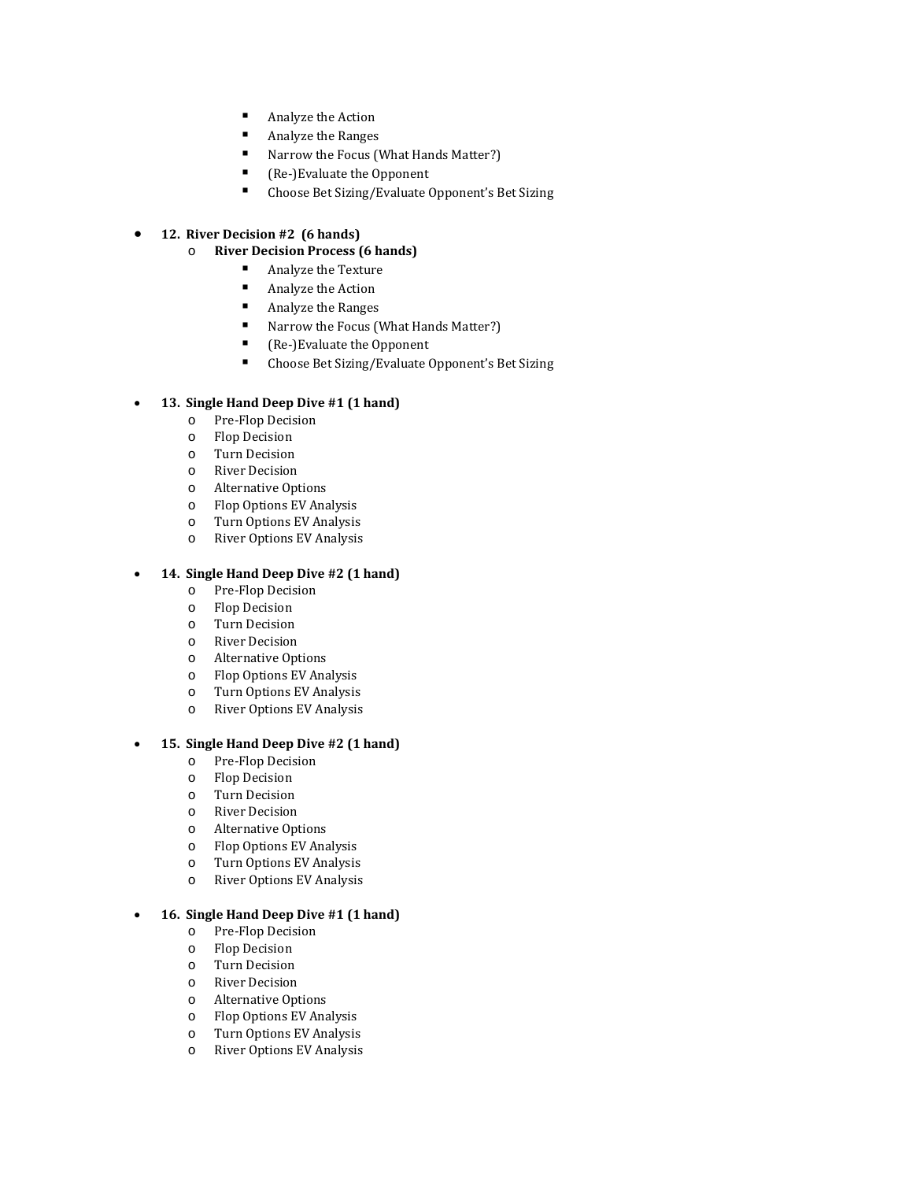- Analyze the Action
- Analyze the Ranges
- Narrow the Focus (What Hands Matter?)
- Re-)Evaluate the Opponent<br>  $\blacksquare$  Choose Bet Sizing (Evaluate 0
- Choose Bet Sizing/Evaluate Opponent's Bet Sizing
- **12. River Decision #2 (6 hands)**
	- o **River Decision Process (6 hands)**
		- Analyze the Texture<br>• Analyze the Action
		- Analyze the Action
		- Analyze the Ranges<br>• Narrow the Focus (V
		- Narrow the Focus (What Hands Matter?)<br>■ Re-}Evaluate the Opponent
		- (Re-)Evaluate the Opponent<br>■ Choose Bet Sizing/Evaluate (
		- Choose Bet Sizing/Evaluate Opponent's Bet Sizing

## • **13. Single Hand Deep Dive #1 (1 hand)**

- o Pre-Flop Decision
- o Flop Decision
- o Turn Decision
- o River Decision
- o Alternative Options
- Flop Options EV Analysis
- o Turn Options EV Analysis
- River Options EV Analysis

## • **14. Single Hand Deep Dive #2 (1 hand)**

- o Pre-Flop Decision
- o Flop Decision
- o Turn Decision
- **River Decision**
- o Alternative Options
- o Flop Options EV Analysis
- o Turn Options EV Analysis
- River Options EV Analysis

### • **15. Single Hand Deep Dive #2 (1 hand)**

- o Pre-Flop Decision
- o Flop Decision
- 
- o Turn Decision **River Decision**
- 
- o Alternative Options Flop Options EV Analysis
- o Turn Options EV Analysis
- o River Options EV Analysis

## • **16. Single Hand Deep Dive #1 (1 hand)**

- o Pre-Flop Decision
- o Flop Decision
- o Turn Decision
- o River Decision
- o Alternative Options
- Flop Options EV Analysis
- o Turn Options EV Analysis
- River Options EV Analysis